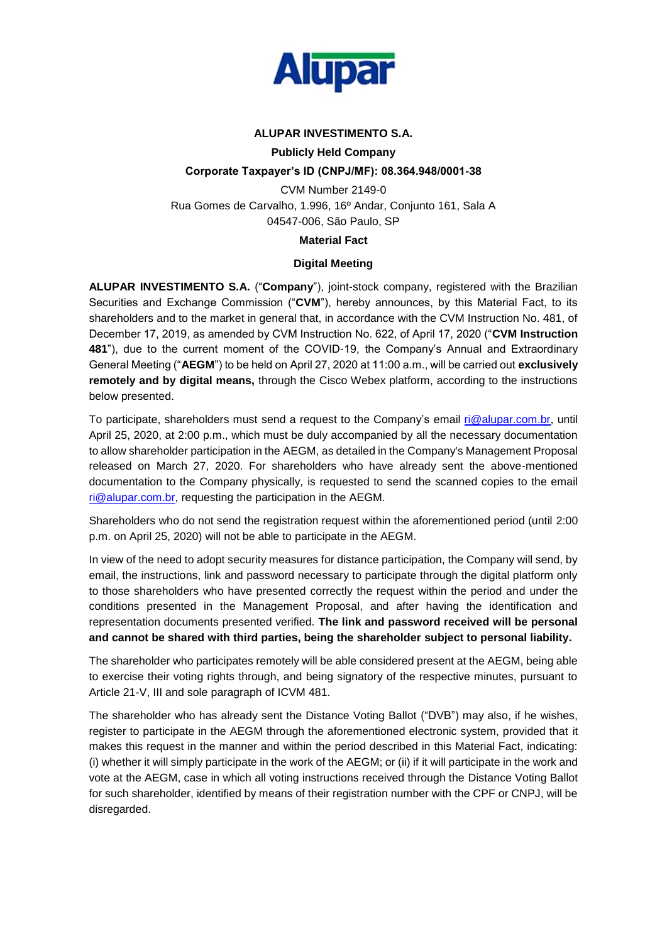

# **ALUPAR INVESTIMENTO S.A.**

## **Publicly Held Company**

### **Corporate Taxpayer's ID (CNPJ/MF): 08.364.948/0001-38**

CVM Number 2149-0 Rua Gomes de Carvalho, 1.996, 16º Andar, Conjunto 161, Sala A 04547-006, São Paulo, SP

### **Material Fact**

### **Digital Meeting**

**ALUPAR INVESTIMENTO S.A.** ("**Company**"), joint-stock company, registered with the Brazilian Securities and Exchange Commission ("**CVM**"), hereby announces, by this Material Fact, to its shareholders and to the market in general that, in accordance with the CVM Instruction No. 481, of December 17, 2019, as amended by CVM Instruction No. 622, of April 17, 2020 ("**CVM Instruction 481**"), due to the current moment of the COVID-19, the Company's Annual and Extraordinary General Meeting ("**AEGM**") to be held on April 27, 2020 at 11:00 a.m., will be carried out **exclusively remotely and by digital means,** through the Cisco Webex platform, according to the instructions below presented.

To participate, shareholders must send a request to the Company's email [ri@alupar.com.br,](ri@alupar.com.br) until April 25, 2020, at 2:00 p.m., which must be duly accompanied by all the necessary documentation to allow shareholder participation in the AEGM, as detailed in the Company's Management Proposal released on March 27, 2020. For shareholders who have already sent the above-mentioned documentation to the Company physically, is requested to send the scanned copies to the email [ri@alupar.com.br,](ri@alupar.com.br) requesting the participation in the AEGM.

Shareholders who do not send the registration request within the aforementioned period (until 2:00 p.m. on April 25, 2020) will not be able to participate in the AEGM.

In view of the need to adopt security measures for distance participation, the Company will send, by email, the instructions, link and password necessary to participate through the digital platform only to those shareholders who have presented correctly the request within the period and under the conditions presented in the Management Proposal, and after having the identification and representation documents presented verified. **The link and password received will be personal and cannot be shared with third parties, being the shareholder subject to personal liability.**

The shareholder who participates remotely will be able considered present at the AEGM, being able to exercise their voting rights through, and being signatory of the respective minutes, pursuant to Article 21-V, III and sole paragraph of ICVM 481.

The shareholder who has already sent the Distance Voting Ballot ("DVB") may also, if he wishes, register to participate in the AEGM through the aforementioned electronic system, provided that it makes this request in the manner and within the period described in this Material Fact, indicating: (i) whether it will simply participate in the work of the AEGM; or (ii) if it will participate in the work and vote at the AEGM, case in which all voting instructions received through the Distance Voting Ballot for such shareholder, identified by means of their registration number with the CPF or CNPJ, will be disregarded.